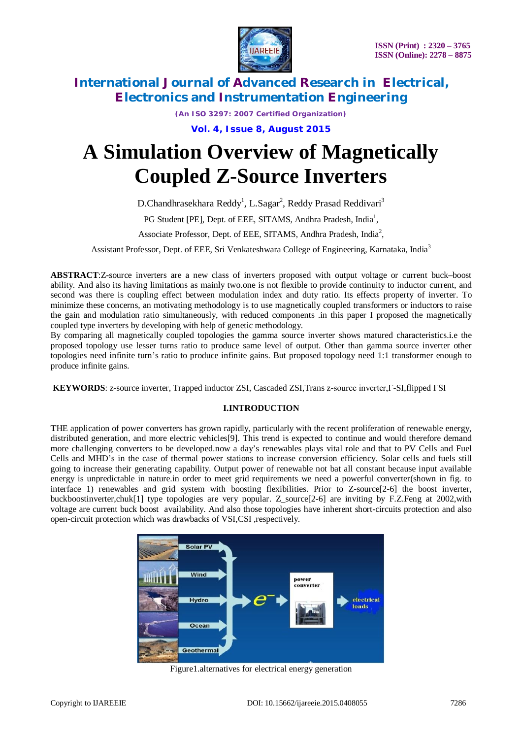

*(An ISO 3297: 2007 Certified Organization)*

**Vol. 4, Issue 8, August 2015**

# **A Simulation Overview of Magnetically Coupled Z-Source Inverters**

D.Chandhrasekhara Reddy<sup>1</sup>, L.Sagar<sup>2</sup>, Reddy Prasad Reddivari<sup>3</sup>

PG Student [PE], Dept. of EEE, SITAMS, Andhra Pradesh, India<sup>1</sup>,

Associate Professor, Dept. of EEE, SITAMS, Andhra Pradesh, India<sup>2</sup>,

Assistant Professor, Dept. of EEE, Sri Venkateshwara College of Engineering, Karnataka, India<sup>3</sup>

**ABSTRACT**:Z-source inverters are a new class of inverters proposed with output voltage or current buck–boost ability. And also its having limitations as mainly two.one is not flexible to provide continuity to inductor current, and second was there is coupling effect between modulation index and duty ratio. Its effects property of inverter. To minimize these concerns, an motivating methodology is to use magnetically coupled transformers or inductors to raise the gain and modulation ratio simultaneously, with reduced components .in this paper I proposed the magnetically coupled type inverters by developing with help of genetic methodology.

By comparing all magnetically coupled topologies the gamma source inverter shows matured characteristics.i.e the proposed topology use lesser turns ratio to produce same level of output. Other than gamma source inverter other topologies need infinite turn's ratio to produce infinite gains. But proposed topology need 1:1 transformer enough to produce infinite gains.

**KEYWORDS**: z-source inverter, Trapped inductor ZSI, Cascaded ZSI,Trans z-source inverter,Γ-SI,flipped ΓSI

### **I.INTRODUCTION**

**T**HE application of power converters has grown rapidly, particularly with the recent proliferation of renewable energy, distributed generation, and more electric vehicles[9]. This trend is expected to continue and would therefore demand more challenging converters to be developed.now a day's renewables plays vital role and that to PV Cells and Fuel Cells and MHD's in the case of thermal power stations to increase conversion efficiency. Solar cells and fuels still going to increase their generating capability. Output power of renewable not bat all constant because input available energy is unpredictable in nature.in order to meet grid requirements we need a powerful converter(shown in fig. to interface 1) renewables and grid system with boosting flexibilities. Prior to Z-source[2-6] the boost inverter, buckboostinverter,chuk[1] type topologies are very popular. Z\_source[2-6] are inviting by F.Z.Feng at 2002,with voltage are current buck boost availability. And also those topologies have inherent short-circuits protection and also open-circuit protection which was drawbacks of VSI,CSI ,respectively.



Figure1.alternatives for electrical energy generation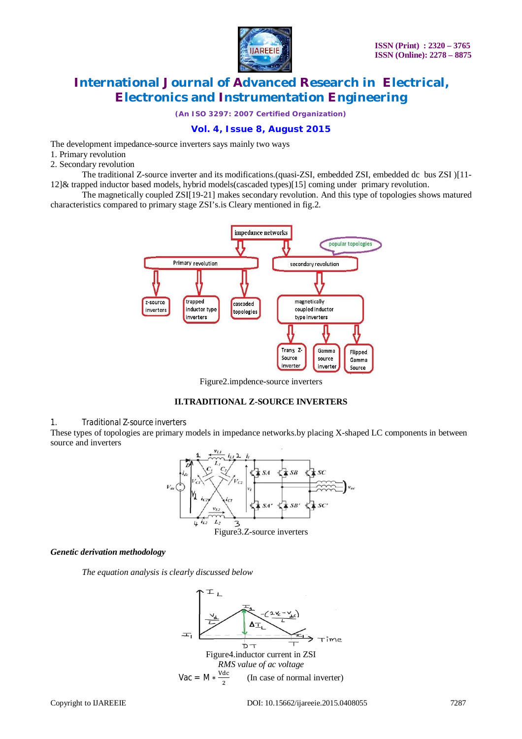

*(An ISO 3297: 2007 Certified Organization)*

## **Vol. 4, Issue 8, August 2015**

The development impedance-source inverters says mainly two ways

- 1. Primary revolution
- 2. Secondary revolution

The traditional Z-source inverter and its modifications.(quasi-ZSI, embedded ZSI, embedded dc bus ZSI )[11- 12]& trapped inductor based models, hybrid models(cascaded types)[15] coming under primary revolution.

The magnetically coupled ZSI[19-21] makes secondary revolution. And this type of topologies shows matured characteristics compared to primary stage ZSI's.is Cleary mentioned in fig.2.



Figure2.impdence-source inverters



#### *1. Traditional Z-source inverters*

These types of topologies are primary models in impedance networks.by placing X-shaped LC components in between source and inverters



#### *Genetic derivation methodology*

*The equation analysis is clearly discussed below*

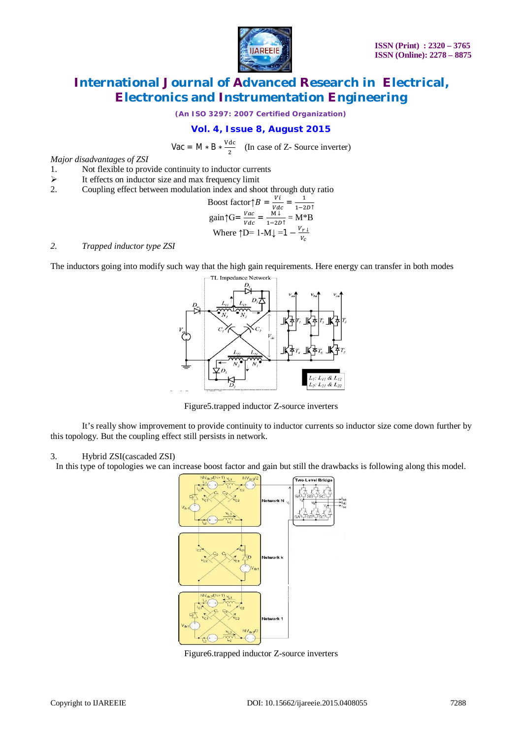

*(An ISO 3297: 2007 Certified Organization)*

## **Vol. 4, Issue 8, August 2015**

Vac = M  $\ast$  B  $\ast \frac{\text{Vdc}}{2}$  $rac{ac}{2}$  (In case of Z- Source inverter)

*Major disadvantages of ZSI* 

- 1. Not flexible to provide continuity to inductor currents<br>  $\geq$  It effects on inductor size and max frequency limit
- $\triangleright$  It effects on inductor size and max frequency limit 2. Coupling effect between modulation index and sho
- 2. Coupling effect between modulation index and shoot through duty ratio

Boost factor
$$
\uparrow B = \frac{vi}{vdc} = \frac{1}{1-2D\uparrow}
$$
  
\n
$$
\text{gain}\uparrow \text{G} = \frac{vac}{vdc} = \frac{M\downarrow}{1-2D\uparrow} = M\uparrow B
$$
\n
$$
\text{Where } \uparrow D = 1 - M\downarrow = 1 - \frac{v_{r\downarrow}}{v_c}
$$

#### *2. Trapped inductor type ZSI*

The inductors going into modify such way that the high gain requirements. Here energy can transfer in both modes



Figure5.trapped inductor Z-source inverters

It's really show improvement to provide continuity to inductor currents so inductor size come down further by this topology. But the coupling effect still persists in network.

### 3. Hybrid ZSI(cascaded ZSI)

In this type of topologies we can increase boost factor and gain but still the drawbacks is following along this model.



Figure6.trapped inductor Z-source inverters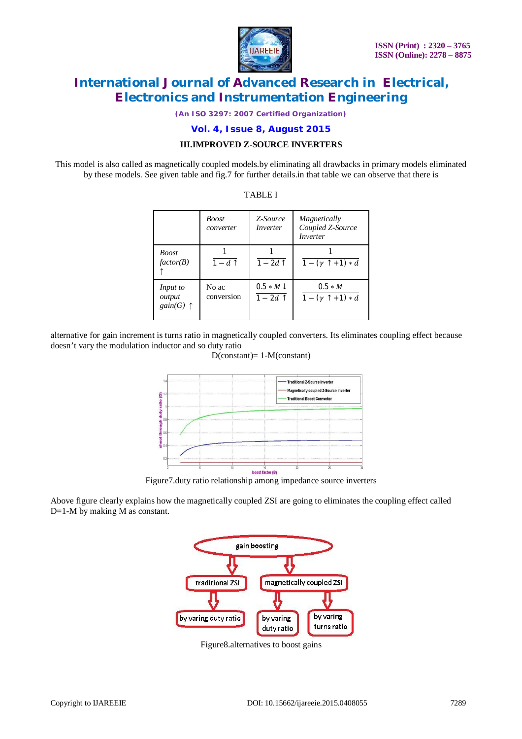

*(An ISO 3297: 2007 Certified Organization)*

**Vol. 4, Issue 8, August 2015**

### **III.IMPROVED Z-SOURCE INVERTERS**

This model is also called as magnetically coupled models.by eliminating all drawbacks in primary models eliminated by these models. See given table and fig.7 for further details.in that table we can observe that there is

|                                          | <i>Boost</i><br>converter | Z-Source<br>Inverter             | Magnetically<br>Coupled Z-Source<br>Inverter |
|------------------------------------------|---------------------------|----------------------------------|----------------------------------------------|
| <b>Boost</b><br>factor(B)                | $1-d$ ↑                   | $1-2d$ 1                         | $1 - (\gamma + 1) * d$                       |
| Input to<br>output<br>gain(G) $\uparrow$ | No ac<br>conversion       | $0.5 * M \downarrow$<br>$1-2d$ 1 | $0.5 * M$<br>$1 - (\gamma + 1) * d$          |

TABLE I

alternative for gain increment is turns ratio in magnetically coupled converters. Its eliminates coupling effect because doesn't vary the modulation inductor and so duty ratio



D(constant)= 1-M(constant)

Figure7.duty ratio relationship among impedance source inverters

Above figure clearly explains how the magnetically coupled ZSI are going to eliminates the coupling effect called D=1-M by making M as constant.



Figure8.alternatives to boost gains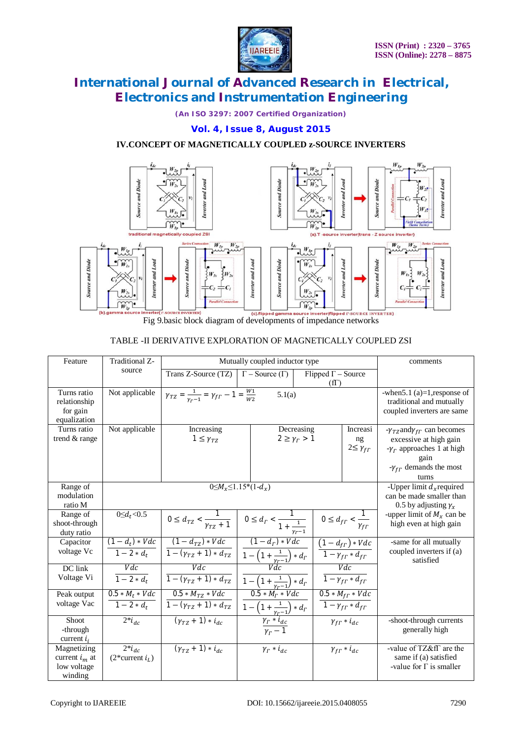

*(An ISO 3297: 2007 Certified Organization)*

### **Vol. 4, Issue 8, August 2015**

# **IV.CONCEPT OF MAGNETICALLY COUPLED z-SOURCE INVERTERS**



Fig 9.basic block diagram of developments of impedance networks

### TABLE -II DERIVATIVE EXPLORATION OF MAGNETICALLY COUPLED ZSI

| Feature                                                   | Traditional Z-                                      | Mutually coupled inductor type                                                                                                                                  |                                                                                                                             |                           |                                              | comments                                                                                   |
|-----------------------------------------------------------|-----------------------------------------------------|-----------------------------------------------------------------------------------------------------------------------------------------------------------------|-----------------------------------------------------------------------------------------------------------------------------|---------------------------|----------------------------------------------|--------------------------------------------------------------------------------------------|
|                                                           | source                                              | Trans Z-Source (TZ)                                                                                                                                             | $\Gamma$ – Source $(\Gamma)$                                                                                                | Flipped $\Gamma$ – Source |                                              |                                                                                            |
|                                                           |                                                     |                                                                                                                                                                 |                                                                                                                             | $(f\Gamma)$               |                                              |                                                                                            |
| Turns ratio<br>relationship<br>for gain<br>equalization   | Not applicable                                      | $\gamma_{TZ} = \frac{1}{v_{r-1}} = \gamma_{fT} - 1 = \frac{W_1}{W_2}$<br>5.1(a)                                                                                 |                                                                                                                             |                           |                                              | -when $5.1$ (a) = 1, response of<br>traditional and mutually<br>coupled inverters are same |
| Turns ratio                                               | Not applicable                                      | Increasing<br>Decreasing                                                                                                                                        |                                                                                                                             | Increasi                  | $-\gamma_{TZ}$ and $\gamma_{fT}$ can becomes |                                                                                            |
| trend & range                                             |                                                     | $2 \geq \gamma_r > 1$<br>$1 \leq \gamma_{TZ}$<br>ng                                                                                                             |                                                                                                                             | $2 \leq \gamma_{f\Gamma}$ | excessive at high gain                       |                                                                                            |
|                                                           |                                                     |                                                                                                                                                                 |                                                                                                                             |                           |                                              | $-\gamma_r$ approaches 1 at high<br>gain                                                   |
|                                                           |                                                     |                                                                                                                                                                 |                                                                                                                             |                           |                                              | $-\gamma_{fT}$ demands the most                                                            |
|                                                           |                                                     |                                                                                                                                                                 |                                                                                                                             |                           |                                              | turns                                                                                      |
| Range of                                                  | $0 \leq M_{r} \leq 1.15*(1-d_{r})$                  |                                                                                                                                                                 |                                                                                                                             |                           |                                              | -Upper limit $d_x$ required                                                                |
| modulation<br>ratio M                                     |                                                     |                                                                                                                                                                 |                                                                                                                             |                           |                                              | can be made smaller than<br>0.5 by adjusting $\gamma_x$                                    |
| Range of                                                  | $\overline{0} \le d_t < 0.5$                        |                                                                                                                                                                 |                                                                                                                             |                           |                                              | -upper limit of $M_x$ can be                                                               |
| shoot-through                                             |                                                     | $0 \le d_{TZ} < \frac{1}{\gamma_{TZ} + 1}$ $0 \le d_{T} < \frac{1}{1 + \frac{1}{1 + \frac{1}{1 + \frac{1}{1 + \cdots}}}$ $0 \le d_{fT} < \frac{1}{\gamma_{fT}}$ |                                                                                                                             |                           |                                              | high even at high gain                                                                     |
| duty ratio                                                |                                                     |                                                                                                                                                                 |                                                                                                                             |                           |                                              |                                                                                            |
| Capacitor                                                 |                                                     | $(1-d_t)*Vdc$ $(1-d_{TZ})*Vdc$                                                                                                                                  | $(1-d_r)*Vdc$                                                                                                               |                           | $(1-d_{fF}) * Vdc$                           | -same for all mutually                                                                     |
| voltage Vc                                                | $1 - 2 * d_t$                                       | $\overline{1-(\gamma_{TZ}+1)*d_{TZ}}$                                                                                                                           | $\frac{1 - \left(1 + \frac{1}{\gamma_{\Gamma}-1}\right) * d_{\Gamma}}{Vdc}$ $\frac{1 - \gamma_{\Gamma} * d_{f\Gamma}}{Vdc}$ |                           |                                              | coupled inverters if (a)<br>satisfied                                                      |
| DC link                                                   | Vdc                                                 | Vdc                                                                                                                                                             |                                                                                                                             |                           | Vdc                                          |                                                                                            |
| Voltage Vi                                                | $\overline{1-2*d_r}$                                | $\overline{1-(\gamma_{TZ}+1)*d_{TZ}}$                                                                                                                           | $\frac{1 - \left(1 + \frac{1}{\gamma_{\Gamma} - 1}\right) * d_{\Gamma}}{0.5 * M_{\Gamma} * V d_{\mathcal{C}}}$              |                           | $1 - \gamma_{fT} * d_{fT}$                   |                                                                                            |
| Peak output                                               | $0.5 * M_t * Vdc$                                   | $0.5 * M_{TZ} * Vdc$                                                                                                                                            |                                                                                                                             |                           | $0.5 * M_{fT} * Vdc$                         |                                                                                            |
| voltage Vac                                               | $1 - 2 * d_t$                                       | $1-(\gamma_{TZ}+1)*d_{TZ}$                                                                                                                                      | $\boxed{1 - \left(1 + \frac{1}{\gamma_{\Gamma} - 1}\right) * d_{\Gamma}}$                                                   |                           | $1 - \gamma_{f\Gamma} * d_{f\Gamma}$         |                                                                                            |
| <b>Shoot</b><br>-through                                  | $2 * i_{dc}$                                        | $(y_{TZ} + 1) * i_{dc}$                                                                                                                                         | $\frac{\frac{r^{2}-1}{\gamma_{r}+i_{dc}}}{\gamma_{r}-1}$                                                                    |                           | $\gamma_{f\Gamma} * i_{dc}$                  | -shoot-through currents<br>generally high                                                  |
| current $i_i$                                             |                                                     |                                                                                                                                                                 |                                                                                                                             |                           |                                              |                                                                                            |
| Magnetizing<br>current $i_m$ at<br>low voltage<br>winding | $\overline{2}$ * $i_{dc}$<br>$(2^*$ current $i_L$ ) | $(y_{T2} + 1) * i_{dc}$                                                                                                                                         | $\gamma_r * i_{dc}$                                                                                                         |                           | $\gamma_{f\Gamma} * i_{dc}$                  | -value of TZ&fT are the<br>same if (a) satisfied<br>-value for $\Gamma$ is smaller         |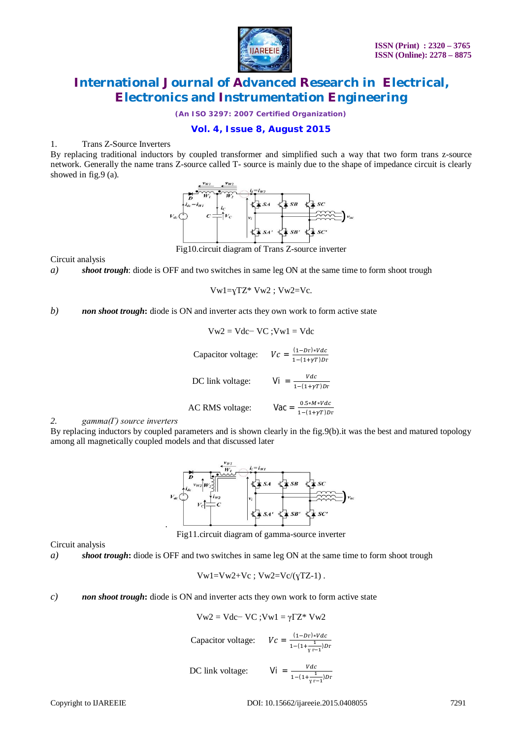

*(An ISO 3297: 2007 Certified Organization)*

## **Vol. 4, Issue 8, August 2015**

### 1. Trans Z-Source Inverters

By replacing traditional inductors by coupled transformer and simplified such a way that two form trans z-source network. Generally the name trans Z-source called T- source is mainly due to the shape of impedance circuit is clearly showed in fig.9 (a).



Fig10.circuit diagram of Trans Z-source inverter

Circuit analysis

*a) shoot trough*: diode is OFF and two switches in same leg ON at the same time to form shoot trough

$$
Vw1=yTZ^* Vw2; Vw2=Vc.
$$

### *b) non shoot trough***:** diode is ON and inverter acts they own work to form active state

$$
Vw2 = Vdc - VC; Vw1 = Vdc
$$
  
Capacitor voltage: 
$$
Vc = \frac{(1 - Dr) * Vdc}{1 - (1 + \gamma T)Dr}
$$
  
DC link voltage: 
$$
Vi = \frac{Vdc}{1 - (1 + \gamma T)Dr}
$$
  
AC RMS voltage: 
$$
Vac = \frac{0.5 * M * Vdc}{1 - (1 + \gamma T)Dr}
$$

### *2. gamma(Γ) source inverters*

By replacing inductors by coupled parameters and is shown clearly in the fig.9(b).it was the best and matured topology among all magnetically coupled models and that discussed later



Fig11.circuit diagram of gamma-source inverter

Circuit analysis

*a) shoot trough***:** diode is OFF and two switches in same leg ON at the same time to form shoot trough

$$
Vw1 = Vw2 + Vc ; Vw2 = Vc/(yTZ-1) .
$$

#### *c) non shoot trough***:** diode is ON and inverter acts they own work to form active state

$$
Vw2 = Vdc - VC ; Vw1 = \gamma \Gamma Z^* Vw2
$$

Capacitor voltage:

DC link voltage:

$$
Vi = \frac{Vdc}{1 - (1 + \frac{1}{\gamma r - 1})Dr}
$$

 $(1-Dr)*Vdc$  $1-(1+\frac{1}{2})$  $\frac{1}{\gamma r-1}$ ) Dr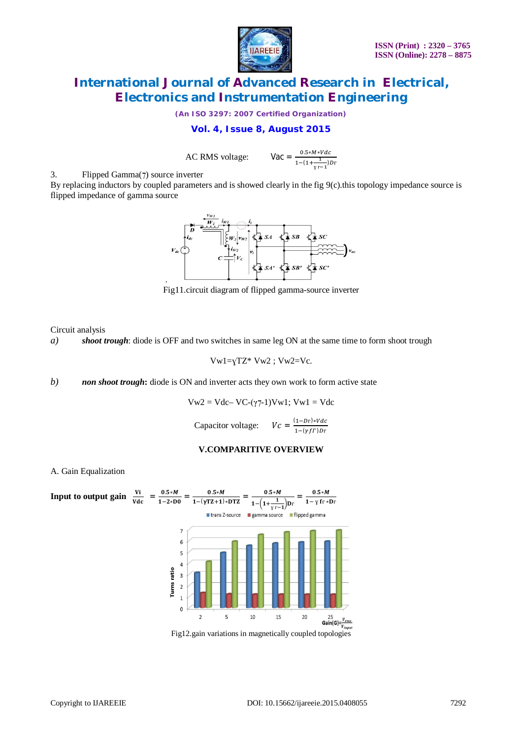

*(An ISO 3297: 2007 Certified Organization)*

## **Vol. 4, Issue 8, August 2015**

AC RMS voltage:

 $0.5 * M * Vdc$  $1-(1+\frac{1}{2})$  $\frac{1}{\gamma r-1}$ ) Dr

3. Flipped Gamma(7) source inverter

By replacing inductors by coupled parameters and is showed clearly in the fig 9(c).this topology impedance source is flipped impedance of gamma source



Fig11.circuit diagram of flipped gamma-source inverter

Circuit analysis

*a) shoot trough*: diode is OFF and two switches in same leg ON at the same time to form shoot trough

$$
Vw1=yTZ^* Vw2; Vw2=Vc.
$$

*b) non shoot trough***:** diode is ON and inverter acts they own work to form active state

$$
Vw2 = Vdc - VC-(\gamma 7-1)Vw1; Vw1 = Vdc
$$
  
Capacitor voltage: 
$$
Vc = \frac{(1 - Dr)*Vdc}{}
$$

Capacitor voltage: 
$$
Vc = \frac{(1 - D_{1}) \times V_{0}}{1 - (\gamma f \Gamma) D_{\Gamma}}
$$

### **V.COMPARITIVE OVERVIEW**



Fig12.gain variations in magnetically coupled topologies

### A. Gain Equalization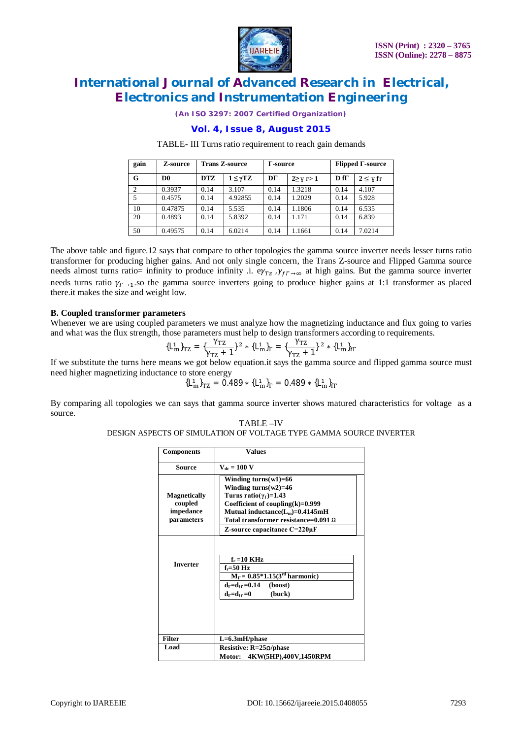

*(An ISO 3297: 2007 Certified Organization)*

### **Vol. 4, Issue 8, August 2015**

#### TABLE- III Turns ratio requirement to reach gain demands

| gain           | Z-source       | <b>Trans Z-source</b> |                     | Γ-source |                   | $Flipped \Gamma$ -source |                    |
|----------------|----------------|-----------------------|---------------------|----------|-------------------|--------------------------|--------------------|
| G              | D <sub>0</sub> | <b>DTZ</b>            | $1 \leq \gamma T Z$ | DГ       | $2 \geq y \geq 1$ | $D f \Gamma$             | $2 \leq \gamma$ fr |
| $\overline{2}$ | 0.3937         | 0.14                  | 3.107               | 0.14     | 1.3218            | 0.14                     | 4.107              |
| 5              | 0.4575         | 0.14                  | 4.92855             | 0.14     | 1.2029            | 0.14                     | 5.928              |
| 10             | 0.47875        | 0.14                  | 5.535               | 0.14     | 1.1806            | 0.14                     | 6.535              |
| 20             | 0.4893         | 0.14                  | 5.8392              | 0.14     | 1.171             | 0.14                     | 6.839              |
| 50             | 0.49575        | 0.14                  | 6.0214              | 0.14     | 1.1661            | 0.14                     | 7.0214             |

The above table and figure.12 says that compare to other topologies the gamma source inverter needs lesser turns ratio transformer for producing higher gains. And not only single concern, the Trans Z-source and Flipped Gamma source needs almost turns ratio= infinity to produce infinity .i.  $e\gamma_{Tz}$ ,  $\gamma_{f\Gamma\to\infty}$  at high gains. But the gamma source inverter needs turns ratio  $\gamma_{\Gamma \to 1}$  so the gamma source inverters going to produce higher gains at 1:1 transformer as placed there.it makes the size and weight low.

#### **B. Coupled transformer parameters**

Whenever we are using coupled parameters we must analyze how the magnetizing inductance and flux going to varies and what was the flux strength, those parameters must help to design transformers according to requirements.

$$
{L_m^1}_{rz} = {\gamma_{TZ} \over \gamma_{rz} + 1} \}^2 * {L_m^1}_{r} = {\gamma_{TZ} \over \gamma_{rz} + 1} \}^2 * {L_m^1}_{fr}
$$

If we substitute the turns here means we got below equation.it says the gamma source and flipped gamma source must need higher magnetizing inductance to store energy

$$
\{L_m^1\}_{TZ} = 0.489 * \{L_m^1\}_\Gamma = 0.489 * \{L_m^1\}_\Gamma
$$

By comparing all topologies we can says that gamma source inverter shows matured characteristics for voltage as a source.

#### TABLE –IV DESIGN ASPECTS OF SIMULATION OF VOLTAGE TYPE GAMMA SOURCE INVERTER

| <b>Components</b>                                         | <b>Values</b>                                                                                                                                                                                                                                           |  |
|-----------------------------------------------------------|---------------------------------------------------------------------------------------------------------------------------------------------------------------------------------------------------------------------------------------------------------|--|
| <b>Source</b>                                             | $V_{dc} = 100 V$                                                                                                                                                                                                                                        |  |
| <b>Magnetically</b><br>coupled<br>impedance<br>parameters | Winding turns $(w1)=66$<br>Winding turns $(w2)=46$<br>Turns ratio( $\gamma_{\Gamma}$ )=1.43<br>Coefficient of coupling $(k)=0.999$<br>Mutual inductance $(L_m)=0.4145mH$<br>Total transformer resistance=0.091 $\Omega$<br>Z-source capacitance C=220µF |  |
| <b>Inverter</b>                                           | $f_c = 10$ KHz<br>$f_r = 50$ Hz<br>$M_{\Gamma} = 0.85*1.15(3rd harmonic)$<br>$d_{\Gamma} = d_{\rm fr} = 0.14$<br>(boost)<br>$d_{\Gamma} = d_{\rm fr} = 0$<br>(buck)                                                                                     |  |
| <b>Filter</b>                                             | $L=6.3$ mH/phase                                                                                                                                                                                                                                        |  |
| Load                                                      | Resistive: $R=25\Omega/\text{phase}$<br>4KW(5HP),400V,1450RPM<br>Motor:                                                                                                                                                                                 |  |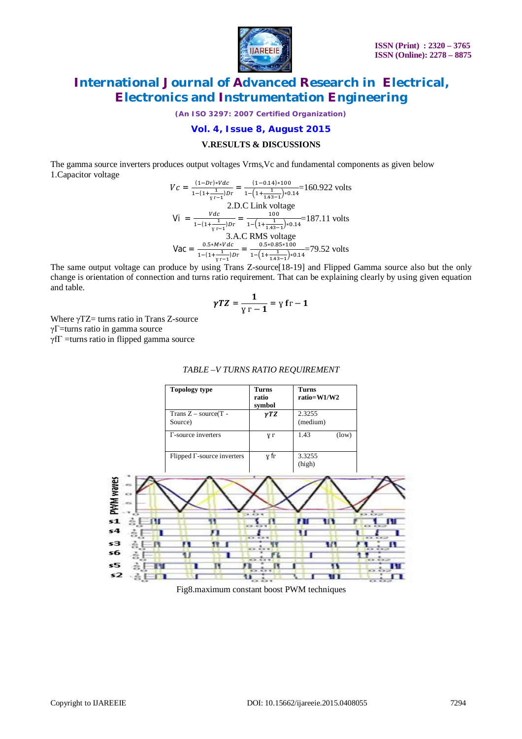

*(An ISO 3297: 2007 Certified Organization)*

### **Vol. 4, Issue 8, August 2015**

#### **V.RESULTS & DISCUSSIONS**

The gamma source inverters produces output voltages Vrms,Vc and fundamental components as given below 1.Capacitor voltage

$$
Vc = \frac{(1 - Dr)*Vdc}{1 - (1 + \frac{1}{\gamma r - 1})Dr} = \frac{(1 - 0.14)*100}{1 - (1 + \frac{1}{1.43} - 1)*0.14} = 160.922 \text{ volts}
$$
  
2.D.C Link voltage  

$$
Vi = \frac{Vdc}{1 - (1 + \frac{1}{\gamma r - 1})Dr} = \frac{100}{1 - (1 + \frac{1}{1.43} - 1)*0.14} = 187.11 \text{ volts}
$$
  
3.A.C RMS voltage  

$$
Vac = \frac{0.5 * M*Vdc}{1 - (1 + \frac{1}{\gamma r - 1})Dr} = \frac{0.5 * 0.85 * 100}{1 - (1 + \frac{1}{1.43} - 1)*0.14} = 79.52 \text{ volts}
$$

The same output voltage can produce by using Trans Z-source [18-19] and Flipped Gamma source also but the only change is orientation of connection and turns ratio requirement. That can be explaining clearly by using given equation and table.

$$
\gamma T Z = \frac{1}{\gamma \Gamma - 1} = \gamma f \Gamma - 1
$$

Where  $\gamma$ TZ= turns ratio in Trans Z-source γΓ=turns ratio in gamma source γfΓ =turns ratio in flipped gamma source



#### *TABLE –V TURNS RATIO REQUIREMENT*

Fig8.maximum constant boost PWM techniques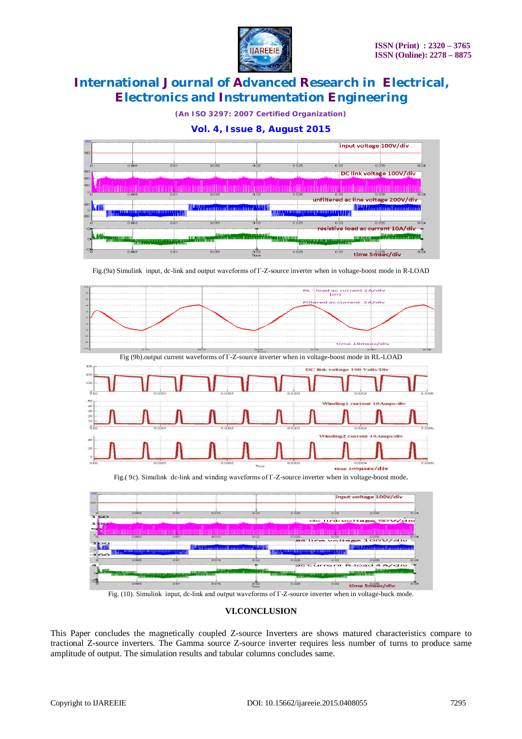

*(An ISO 3297: 2007 Certified Organization)*



Fig.(9a) Simulink input, dc-link and output waveforms of Г-Z-source inverter when in voltage-boost mode in R-LOAD



Fig. (10). Simulink input, dc-link and output waveforms of Г-Z-source inverter when in voltage-buck mode.

### **VI.CONCLUSION**

This Paper concludes the magnetically coupled Z-source Inverters are shows matured characteristics compare to tractional Z-source inverters. The Gamma source Z-source inverter requires less number of turns to produce same amplitude of output. The simulation results and tabular columns concludes same.